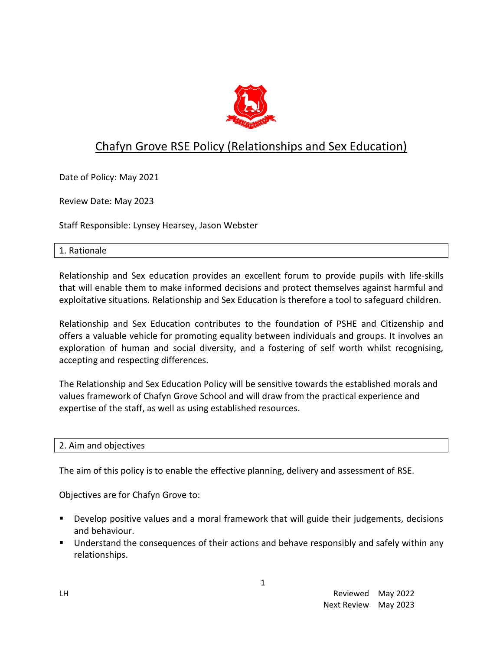

# Chafyn Grove RSE Policy (Relationships and Sex Education)

Date of Policy: May 2021

Review Date: May 2023

Staff Responsible: Lynsey Hearsey, Jason Webster

#### 1. Rationale

Relationship and Sex education provides an excellent forum to provide pupils with life-skills that will enable them to make informed decisions and protect themselves against harmful and exploitative situations. Relationship and Sex Education is therefore a tool to safeguard children.

Relationship and Sex Education contributes to the foundation of PSHE and Citizenship and offers a valuable vehicle for promoting equality between individuals and groups. It involves an exploration of human and social diversity, and a fostering of self worth whilst recognising, accepting and respecting differences.

The Relationship and Sex Education Policy will be sensitive towards the established morals and values framework of Chafyn Grove School and will draw from the practical experience and expertise of the staff, as well as using established resources.

2. Aim and objectives

The aim of this policy is to enable the effective planning, delivery and assessment of RSE.

Objectives are for Chafyn Grove to:

- Develop positive values and a moral framework that will guide their judgements, decisions and behaviour.
- Understand the consequences of their actions and behave responsibly and safely within any relationships.

1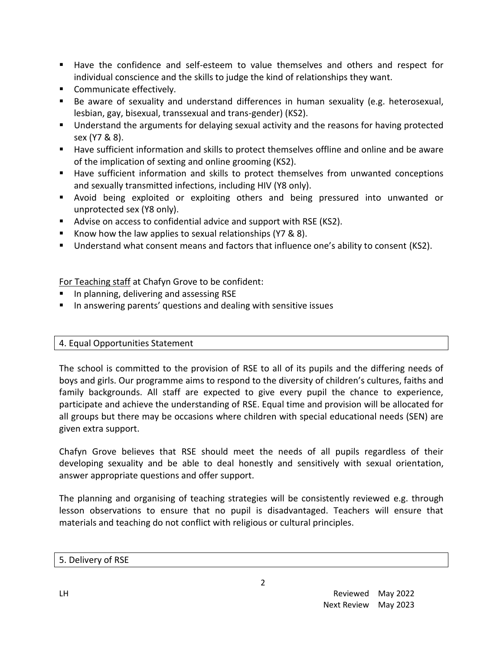- Have the confidence and self-esteem to value themselves and others and respect for individual conscience and the skills to judge the kind of relationships they want.
- Communicate effectively.
- Be aware of sexuality and understand differences in human sexuality (e.g. heterosexual, lesbian, gay, bisexual, transsexual and trans-gender) (KS2).
- Understand the arguments for delaying sexual activity and the reasons for having protected sex (Y7 & 8).
- Have sufficient information and skills to protect themselves offline and online and be aware of the implication of sexting and online grooming (KS2).
- Have sufficient information and skills to protect themselves from unwanted conceptions and sexually transmitted infections, including HIV (Y8 only).
- Avoid being exploited or exploiting others and being pressured into unwanted or unprotected sex (Y8 only).
- Advise on access to confidential advice and support with RSE (KS2).
- Know how the law applies to sexual relationships (Y7 & 8).
- Understand what consent means and factors that influence one's ability to consent (KS2).

For Teaching staff at Chafyn Grove to be confident:

- In planning, delivering and assessing RSE
- In answering parents' questions and dealing with sensitive issues

# 4. Equal Opportunities Statement

The school is committed to the provision of RSE to all of its pupils and the differing needs of boys and girls. Our programme aims to respond to the diversity of children's cultures, faiths and family backgrounds. All staff are expected to give every pupil the chance to experience, participate and achieve the understanding of RSE. Equal time and provision will be allocated for all groups but there may be occasions where children with special educational needs (SEN) are given extra support.

Chafyn Grove believes that RSE should meet the needs of all pupils regardless of their developing sexuality and be able to deal honestly and sensitively with sexual orientation, answer appropriate questions and offer support.

The planning and organising of teaching strategies will be consistently reviewed e.g. through lesson observations to ensure that no pupil is disadvantaged. Teachers will ensure that materials and teaching do not conflict with religious or cultural principles.

5. Delivery of RSE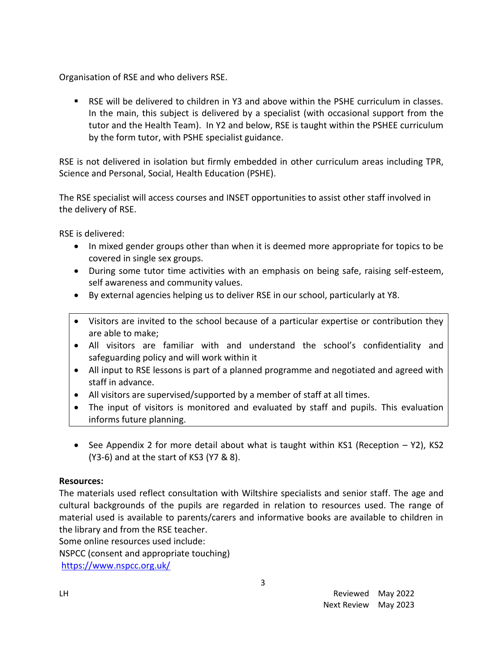Organisation of RSE and who delivers RSE.

RSE will be delivered to children in Y3 and above within the PSHE curriculum in classes. In the main, this subject is delivered by a specialist (with occasional support from the tutor and the Health Team). In Y2 and below, RSE is taught within the PSHEE curriculum by the form tutor, with PSHE specialist guidance.

RSE is not delivered in isolation but firmly embedded in other curriculum areas including TPR, Science and Personal, Social, Health Education (PSHE).

The RSE specialist will access courses and INSET opportunities to assist other staff involved in the delivery of RSE.

RSE is delivered:

- In mixed gender groups other than when it is deemed more appropriate for topics to be covered in single sex groups.
- During some tutor time activities with an emphasis on being safe, raising self-esteem, self awareness and community values.
- By external agencies helping us to deliver RSE in our school, particularly at Y8.
- Visitors are invited to the school because of a particular expertise or contribution they are able to make;
- All visitors are familiar with and understand the school's confidentiality and safeguarding policy and will work within it
- All input to RSE lessons is part of a planned programme and negotiated and agreed with staff in advance.
- All visitors are supervised/supported by a member of staff at all times.
- The input of visitors is monitored and evaluated by staff and pupils. This evaluation informs future planning.
- See Appendix 2 for more detail about what is taught within KS1 (Reception Y2), KS2 (Y3-6) and at the start of KS3 (Y7 & 8).

# **Resources:**

The materials used reflect consultation with Wiltshire specialists and senior staff. The age and cultural backgrounds of the pupils are regarded in relation to resources used. The range of material used is available to parents/carers and informative books are available to children in the library and from the RSE teacher.

Some online resources used include: NSPCC (consent and appropriate touching) <https://www.nspcc.org.uk/>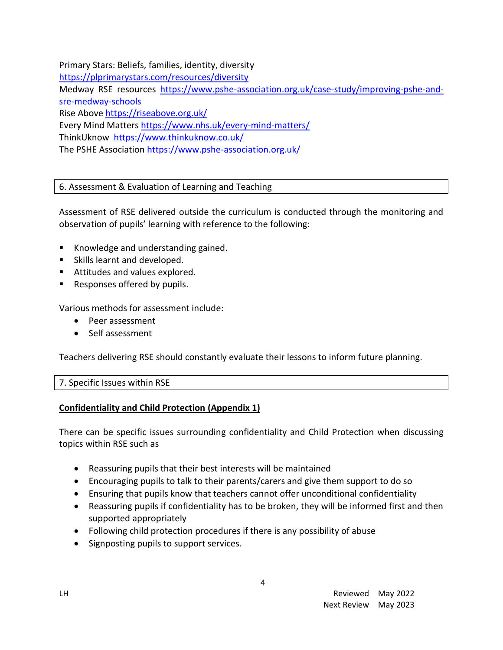Primary Stars: Beliefs, families, identity, diversity

<https://plprimarystars.com/resources/diversity>

Medway RSE resources [https://www.pshe-association.org.uk/case-study/improving-pshe-and](https://www.pshe-association.org.uk/case-study/improving-pshe-and-sre-medway-schools)[sre-medway-schools](https://www.pshe-association.org.uk/case-study/improving-pshe-and-sre-medway-schools)

Rise Above<https://riseabove.org.uk/>

Every Mind Matters<https://www.nhs.uk/every-mind-matters/>

ThinkUknow <https://www.thinkuknow.co.uk/>

The PSHE Association<https://www.pshe-association.org.uk/>

# 6. Assessment & Evaluation of Learning and Teaching

Assessment of RSE delivered outside the curriculum is conducted through the monitoring and observation of pupils' learning with reference to the following:

- Knowledge and understanding gained.
- Skills learnt and developed.
- Attitudes and values explored.
- Responses offered by pupils.

Various methods for assessment include:

- Peer assessment
- Self assessment

Teachers delivering RSE should constantly evaluate their lessons to inform future planning.

# 7. Specific Issues within RSE

# **Confidentiality and Child Protection (Appendix 1)**

There can be specific issues surrounding confidentiality and Child Protection when discussing topics within RSE such as

- Reassuring pupils that their best interests will be maintained
- Encouraging pupils to talk to their parents/carers and give them support to do so
- Ensuring that pupils know that teachers cannot offer unconditional confidentiality
- Reassuring pupils if confidentiality has to be broken, they will be informed first and then supported appropriately

4

- Following child protection procedures if there is any possibility of abuse
- Signposting pupils to support services.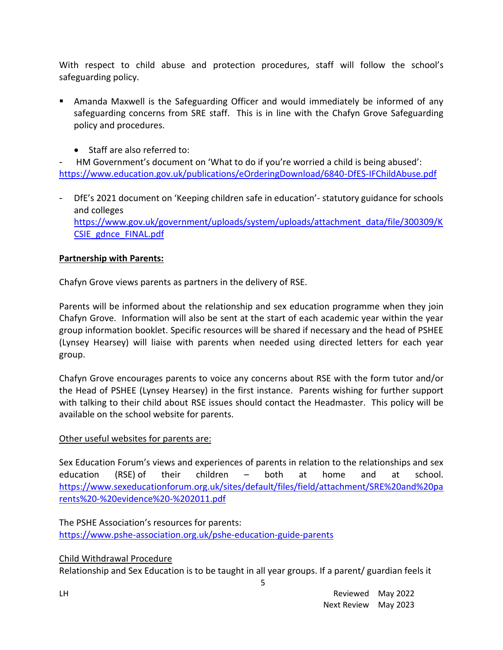With respect to child abuse and protection procedures, staff will follow the school's safeguarding policy.

- Amanda Maxwell is the Safeguarding Officer and would immediately be informed of any safeguarding concerns from SRE staff. This is in line with the Chafyn Grove Safeguarding policy and procedures.
	- Staff are also referred to:

HM Government's document on 'What to do if you're worried a child is being abused': <https://www.education.gov.uk/publications/eOrderingDownload/6840-DfES-IFChildAbuse.pdf>

- DfE's 2021 document on 'Keeping children safe in education'- statutory guidance for schools and colleges [https://www.gov.uk/government/uploads/system/uploads/attachment\\_data/file/300309/K](https://www.gov.uk/government/uploads/system/uploads/attachment_data/file/300309/KCSIE_gdnce_FINAL.pdf) [CSIE\\_gdnce\\_FINAL.pdf](https://www.gov.uk/government/uploads/system/uploads/attachment_data/file/300309/KCSIE_gdnce_FINAL.pdf)

# **Partnership with Parents:**

Chafyn Grove views parents as partners in the delivery of RSE.

Parents will be informed about the relationship and sex education programme when they join Chafyn Grove. Information will also be sent at the start of each academic year within the year group information booklet. Specific resources will be shared if necessary and the head of PSHEE (Lynsey Hearsey) will liaise with parents when needed using directed letters for each year group.

Chafyn Grove encourages parents to voice any concerns about RSE with the form tutor and/or the Head of PSHEE (Lynsey Hearsey) in the first instance. Parents wishing for further support with talking to their child about RSE issues should contact the Headmaster. This policy will be available on the school website for parents.

# Other useful websites for parents are:

Sex Education Forum's views and experiences of parents in relation to the relationships and sex education (RSE) of their children – both at home and at school. [https://www.sexeducationforum.org.uk/sites/default/files/field/attachment/SRE%20and%20pa](https://www.sexeducationforum.org.uk/sites/default/files/field/attachment/SRE%20and%20parents%20-%20evidence%20-%202011.pdf) [rents%20-%20evidence%20-%202011.pdf](https://www.sexeducationforum.org.uk/sites/default/files/field/attachment/SRE%20and%20parents%20-%20evidence%20-%202011.pdf)

The PSHE Association's resources for parents: <https://www.pshe-association.org.uk/pshe-education-guide-parents>

# Child Withdrawal Procedure

Relationship and Sex Education is to be taught in all year groups. If a parent/ guardian feels it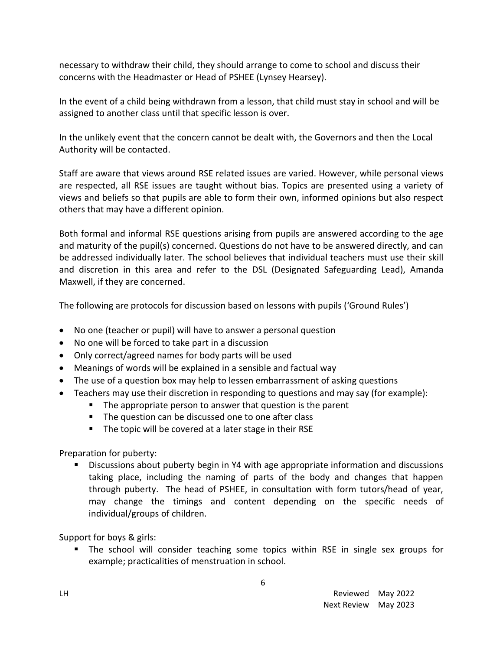necessary to withdraw their child, they should arrange to come to school and discuss their concerns with the Headmaster or Head of PSHEE (Lynsey Hearsey).

In the event of a child being withdrawn from a lesson, that child must stay in school and will be assigned to another class until that specific lesson is over.

In the unlikely event that the concern cannot be dealt with, the Governors and then the Local Authority will be contacted.

Staff are aware that views around RSE related issues are varied. However, while personal views are respected, all RSE issues are taught without bias. Topics are presented using a variety of views and beliefs so that pupils are able to form their own, informed opinions but also respect others that may have a different opinion.

Both formal and informal RSE questions arising from pupils are answered according to the age and maturity of the pupil(s) concerned. Questions do not have to be answered directly, and can be addressed individually later. The school believes that individual teachers must use their skill and discretion in this area and refer to the DSL (Designated Safeguarding Lead), Amanda Maxwell, if they are concerned.

The following are protocols for discussion based on lessons with pupils ('Ground Rules')

- No one (teacher or pupil) will have to answer a personal question
- No one will be forced to take part in a discussion
- Only correct/agreed names for body parts will be used
- Meanings of words will be explained in a sensible and factual way
- The use of a question box may help to lessen embarrassment of asking questions
- Teachers may use their discretion in responding to questions and may say (for example):
	- The appropriate person to answer that question is the parent
	- The question can be discussed one to one after class
	- The topic will be covered at a later stage in their RSE

Preparation for puberty:

Discussions about puberty begin in Y4 with age appropriate information and discussions taking place, including the naming of parts of the body and changes that happen through puberty. The head of PSHEE, in consultation with form tutors/head of year, may change the timings and content depending on the specific needs of individual/groups of children.

Support for boys & girls:

■ The school will consider teaching some topics within RSE in single sex groups for example; practicalities of menstruation in school.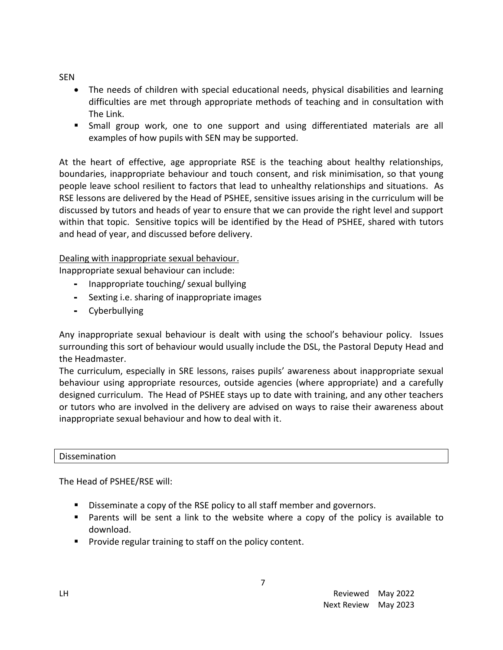# SEN

- The needs of children with special educational needs, physical disabilities and learning difficulties are met through appropriate methods of teaching and in consultation with The Link.
- Small group work, one to one support and using differentiated materials are all examples of how pupils with SEN may be supported.

At the heart of effective, age appropriate RSE is the teaching about healthy relationships, boundaries, inappropriate behaviour and touch consent, and risk minimisation, so that young people leave school resilient to factors that lead to unhealthy relationships and situations. As RSE lessons are delivered by the Head of PSHEE, sensitive issues arising in the curriculum will be discussed by tutors and heads of year to ensure that we can provide the right level and support within that topic. Sensitive topics will be identified by the Head of PSHEE, shared with tutors and head of year, and discussed before delivery.

# Dealing with inappropriate sexual behaviour.

Inappropriate sexual behaviour can include:

- Inappropriate touching/ sexual bullying
- Sexting i.e. sharing of inappropriate images
- Cyberbullying

Any inappropriate sexual behaviour is dealt with using the school's behaviour policy. Issues surrounding this sort of behaviour would usually include the DSL, the Pastoral Deputy Head and the Headmaster.

The curriculum, especially in SRE lessons, raises pupils' awareness about inappropriate sexual behaviour using appropriate resources, outside agencies (where appropriate) and a carefully designed curriculum. The Head of PSHEE stays up to date with training, and any other teachers or tutors who are involved in the delivery are advised on ways to raise their awareness about inappropriate sexual behaviour and how to deal with it.

# Dissemination

The Head of PSHEE/RSE will:

- Disseminate a copy of the RSE policy to all staff member and governors.
- Parents will be sent a link to the website where a copy of the policy is available to download.

7

■ Provide regular training to staff on the policy content.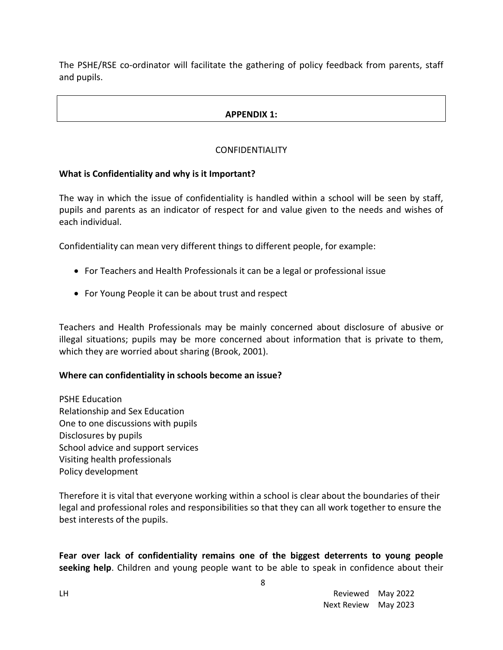The PSHE/RSE co-ordinator will facilitate the gathering of policy feedback from parents, staff and pupils.

### **APPENDIX 1:**

#### CONFIDENTIALITY

#### **What is Confidentiality and why is it Important?**

The way in which the issue of confidentiality is handled within a school will be seen by staff, pupils and parents as an indicator of respect for and value given to the needs and wishes of each individual.

Confidentiality can mean very different things to different people, for example:

- For Teachers and Health Professionals it can be a legal or professional issue
- For Young People it can be about trust and respect

Teachers and Health Professionals may be mainly concerned about disclosure of abusive or illegal situations; pupils may be more concerned about information that is private to them, which they are worried about sharing (Brook, 2001).

#### **Where can confidentiality in schools become an issue?**

PSHE Education Relationship and Sex Education One to one discussions with pupils Disclosures by pupils School advice and support services Visiting health professionals Policy development

Therefore it is vital that everyone working within a school is clear about the boundaries of their legal and professional roles and responsibilities so that they can all work together to ensure the best interests of the pupils.

**Fear over lack of confidentiality remains one of the biggest deterrents to young people seeking help**. Children and young people want to be able to speak in confidence about their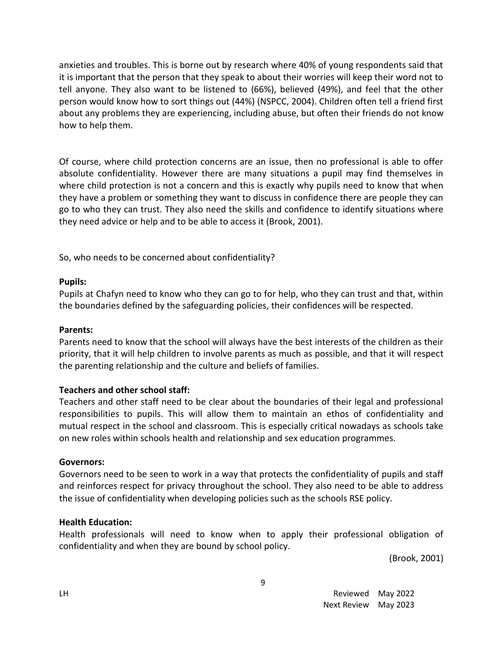anxieties and troubles. This is borne out by research where 40% of young respondents said that it is important that the person that they speak to about their worries will keep their word not to tell anyone. They also want to be listened to (66%), believed (49%), and feel that the other person would know how to sort things out (44%) (NSPCC, 2004). Children often tell a friend first about any problems they are experiencing, including abuse, but often their friends do not know how to help them.

Of course, where child protection concerns are an issue, then no professional is able to offer absolute confidentiality. However there are many situations a pupil may find themselves in where child protection is not a concern and this is exactly why pupils need to know that when they have a problem or something they want to discuss in confidence there are people they can go to who they can trust. They also need the skills and confidence to identify situations where they need advice or help and to be able to access it (Brook, 2001).

So, who needs to be concerned about confidentiality?

# **Pupils:**

Pupils at Chafyn need to know who they can go to for help, who they can trust and that, within the boundaries defined by the safeguarding policies, their confidences will be respected.

#### **Parents:**

Parents need to know that the school will always have the best interests of the children as their priority, that it will help children to involve parents as much as possible, and that it will respect the parenting relationship and the culture and beliefs of families.

# **Teachers and other school staff:**

Teachers and other staff need to be clear about the boundaries of their legal and professional responsibilities to pupils. This will allow them to maintain an ethos of confidentiality and mutual respect in the school and classroom. This is especially critical nowadays as schools take on new roles within schools health and relationship and sex education programmes.

#### **Governors:**

Governors need to be seen to work in a way that protects the confidentiality of pupils and staff and reinforces respect for privacy throughout the school. They also need to be able to address the issue of confidentiality when developing policies such as the schools RSE policy.

#### **Health Education:**

Health professionals will need to know when to apply their professional obligation of confidentiality and when they are bound by school policy.

(Brook, 2001)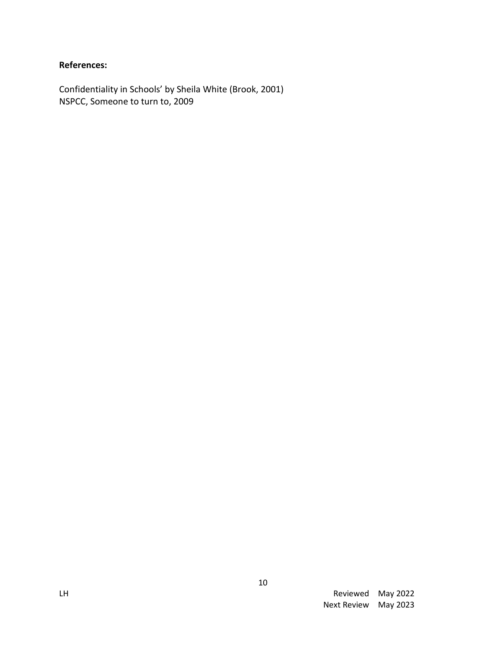# **References:**

Confidentiality in Schools' by Sheila White (Brook, 2001) NSPCC, Someone to turn to, 2009